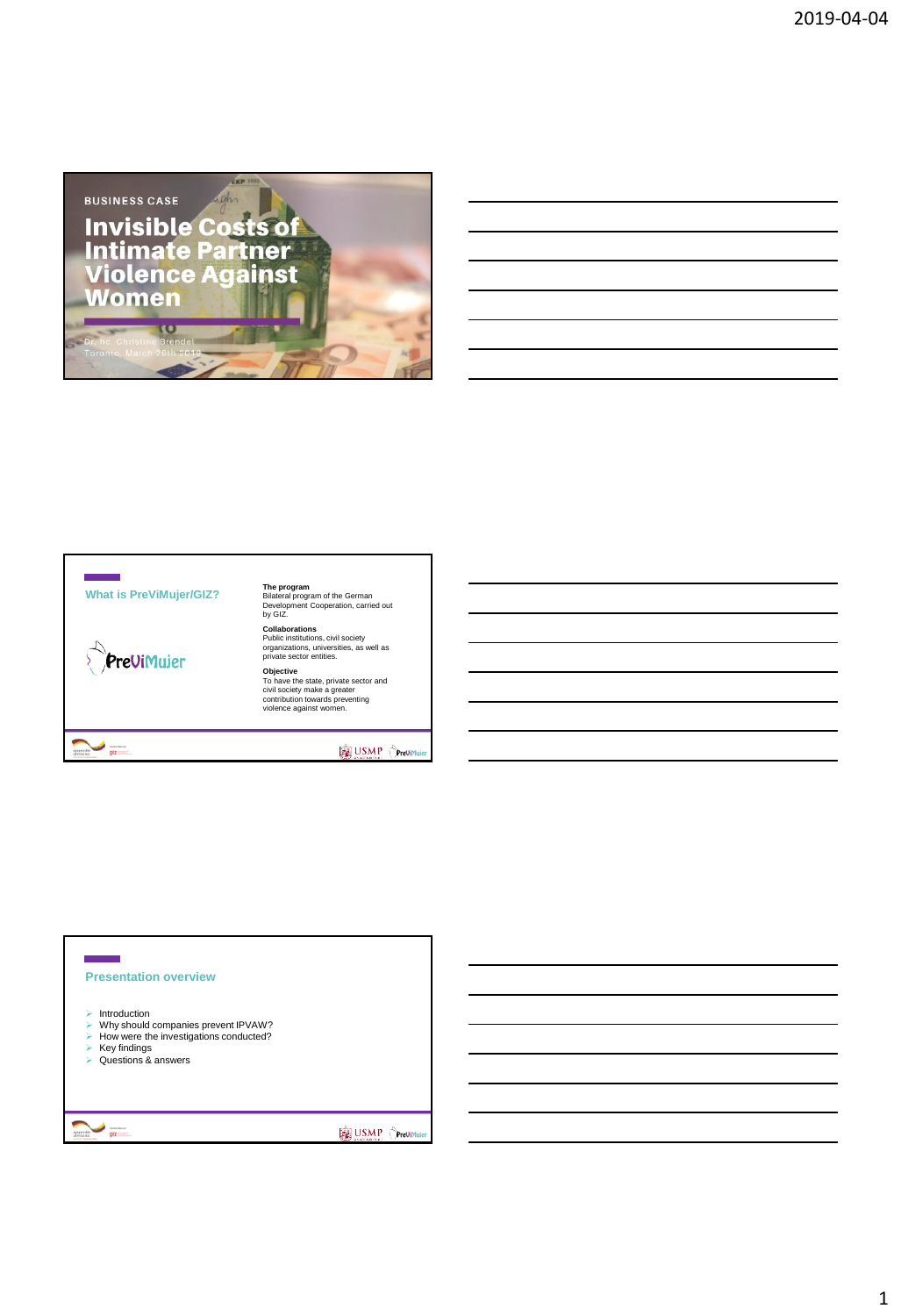

## **What is PreViMujer/GIZ?**

superation of the second second second second second second second second second second second second second second second second second second second second second second second second second second second second second s

PreViMujer

**The program<br>Bilateral program of the German<br>Development Cooperation, carried out<br>by GIZ. Collaborations** Public institutions, civil society organizations, universities, as well as private sector entities.

**Objective**<br>To have the state, private sector and<br>civil society make a greater<br>contribution towards preventing<br>violence against women.

**BE USMP** Orevis

# **Presentation overview**  $\blacktriangleright$  Introduction Why should companies prevent IPVAW? How were the investigations conducted? Key findings Questions & answers $\frac{1}{\log z}$ USMP OPrevint

## 1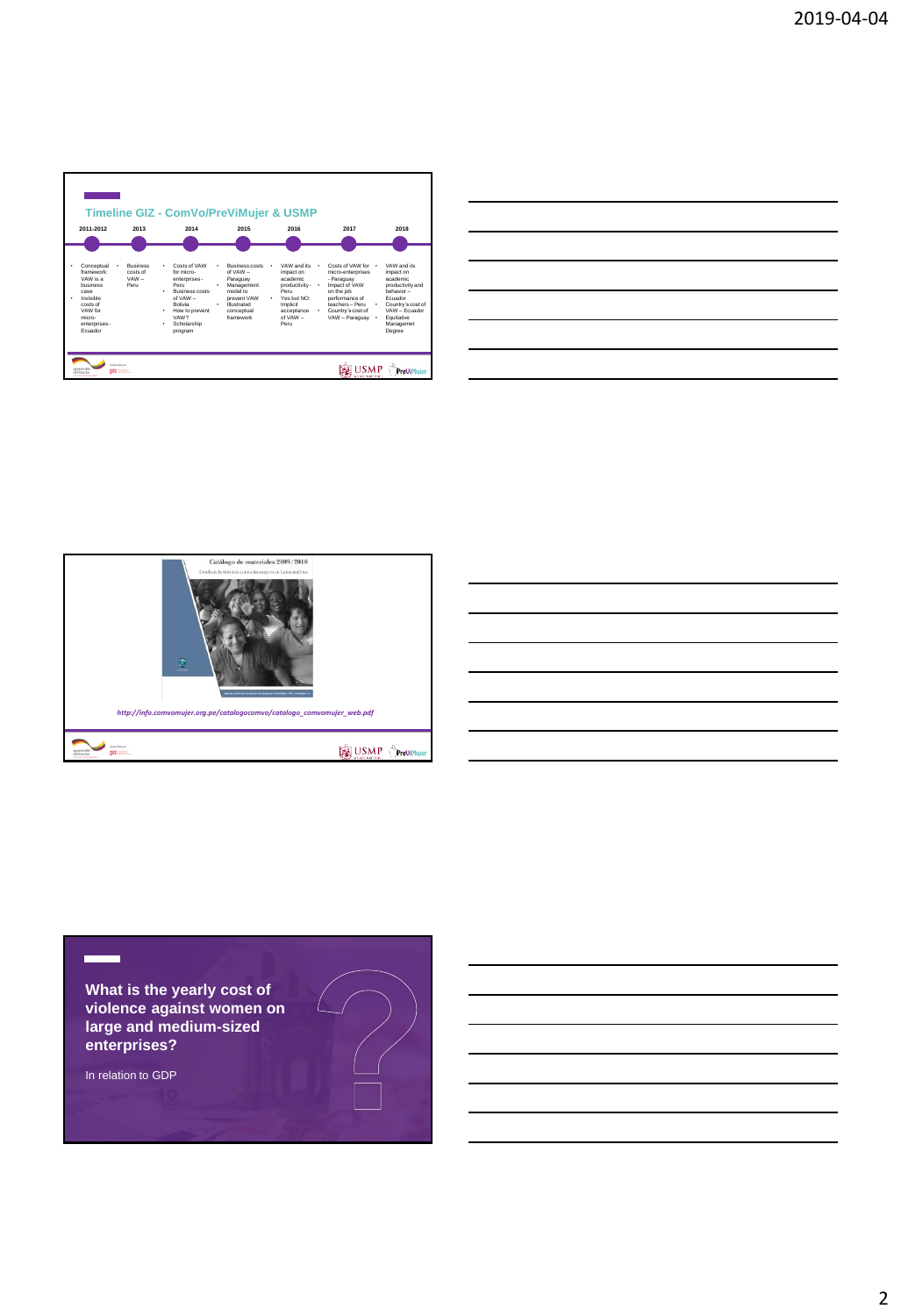|                                                                                                                                    |                                                | <b>Timeline GIZ - ComVo/PreViMujer &amp; USMP</b>                                                                                                                      |                                                                                                                                                            |                                                                                                                                             |                                                                                                                                                                                                         |                                                                                                                                                                       |
|------------------------------------------------------------------------------------------------------------------------------------|------------------------------------------------|------------------------------------------------------------------------------------------------------------------------------------------------------------------------|------------------------------------------------------------------------------------------------------------------------------------------------------------|---------------------------------------------------------------------------------------------------------------------------------------------|---------------------------------------------------------------------------------------------------------------------------------------------------------------------------------------------------------|-----------------------------------------------------------------------------------------------------------------------------------------------------------------------|
| 2011-2012                                                                                                                          | 2013                                           | 2014                                                                                                                                                                   | 2015                                                                                                                                                       | 2016                                                                                                                                        | 2017                                                                                                                                                                                                    | 2018                                                                                                                                                                  |
|                                                                                                                                    |                                                |                                                                                                                                                                        |                                                                                                                                                            |                                                                                                                                             |                                                                                                                                                                                                         |                                                                                                                                                                       |
| Conceptual<br>framework:<br>VAW is a<br>husiness<br>CASA<br>Invisible<br>costs of<br>VAW for<br>micro-<br>enterprises -<br>Fouador | <b>Rusiness</b><br>costs of<br>$VAW -$<br>Peni | Costs of VAW<br>٠<br>for micro-<br>enterprises -<br>Peni<br>Business costs<br>٠<br>$of VAW -$<br>Rollvia<br>How to prevent<br>٠<br>VAW?<br>Scholarship<br>٠<br>program | <b>Business costs</b><br>٠<br>$n$ f VAW $-$<br>Paraguay<br>Management<br>٠<br>model to<br>prevent VAW<br>Illustrated<br>$\cdot$<br>conceptual<br>framework | VAW and its<br>٠<br>impact on<br>academic<br>productivity - .<br>Peru<br>Yes but NO:<br>٠<br>Implicit<br>acceptance<br>$nt$ VAW $-$<br>Peru | Costs of VAW for .<br>$\overline{\phantom{a}}$<br>micro-enterprises<br>- Paraguay<br>Impact of VAW<br>on the job<br>performance of<br>teachers - Peni<br>Country's cost of<br>$\cdot$<br>VAW - Paraguay | VAW and its<br>impact on<br>academic<br>productivity and<br>hehavior-<br>Founder<br>Country's cost of<br>٠<br>VAW - Fouador<br>Equitative<br>٠<br>Managemet<br>Degree |

| <u> Listen van die Stad van die Stad van die Stad van die Stad van die Stad van die Stad van die Stad van die Stad va</u> |  | $\overline{\phantom{a}}$ |
|---------------------------------------------------------------------------------------------------------------------------|--|--------------------------|
|                                                                                                                           |  |                          |
|                                                                                                                           |  |                          |
|                                                                                                                           |  | $\sim$                   |
|                                                                                                                           |  |                          |
|                                                                                                                           |  |                          |



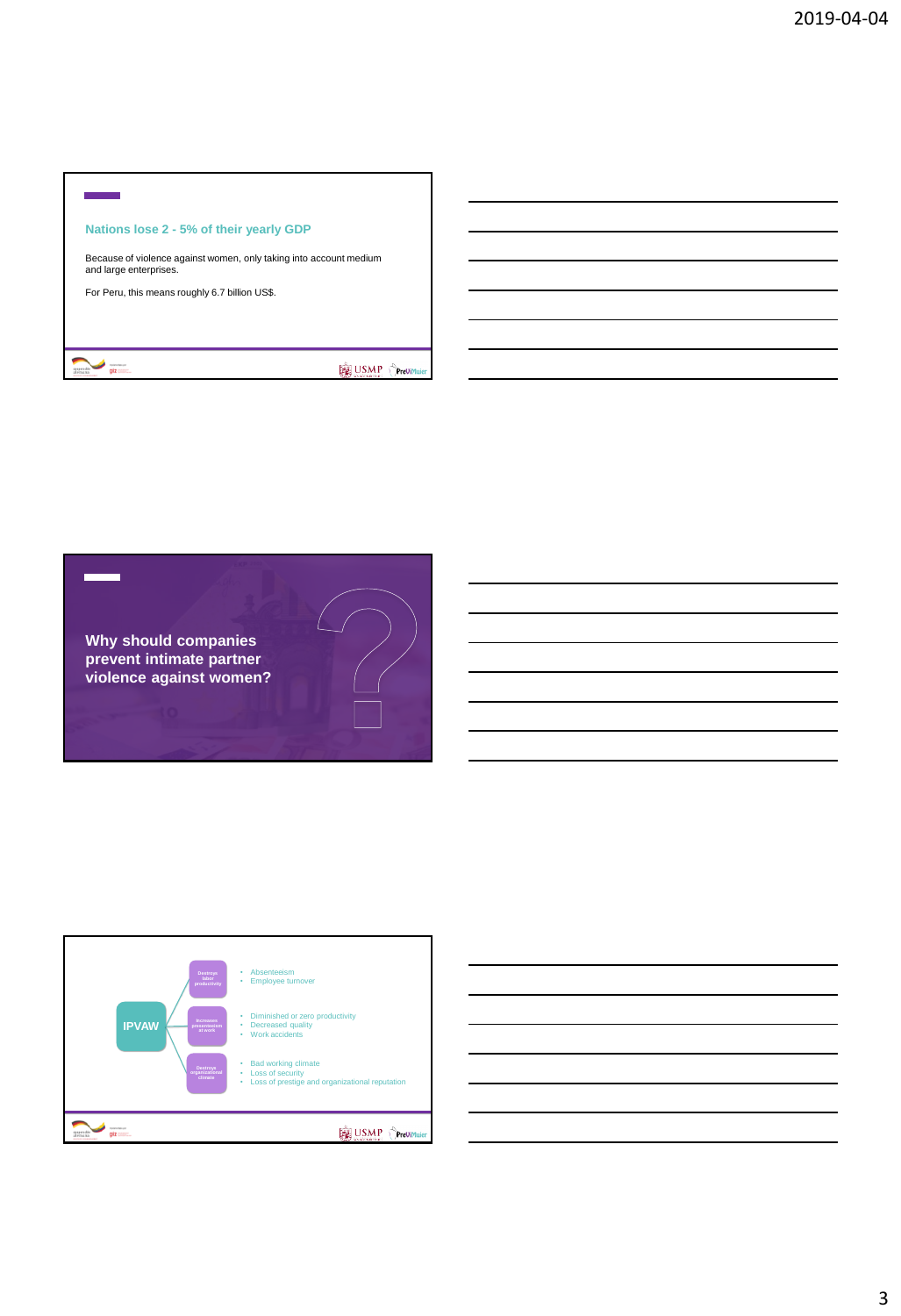## ÷ **Nations lose 2 - 5% of their yearly GDP** Because of violence against women, only taking into account medium and large enterprises. For Peru, this means roughly 6.7 billion US\$.  $\frac{d}{dx}$ USMP Previmal





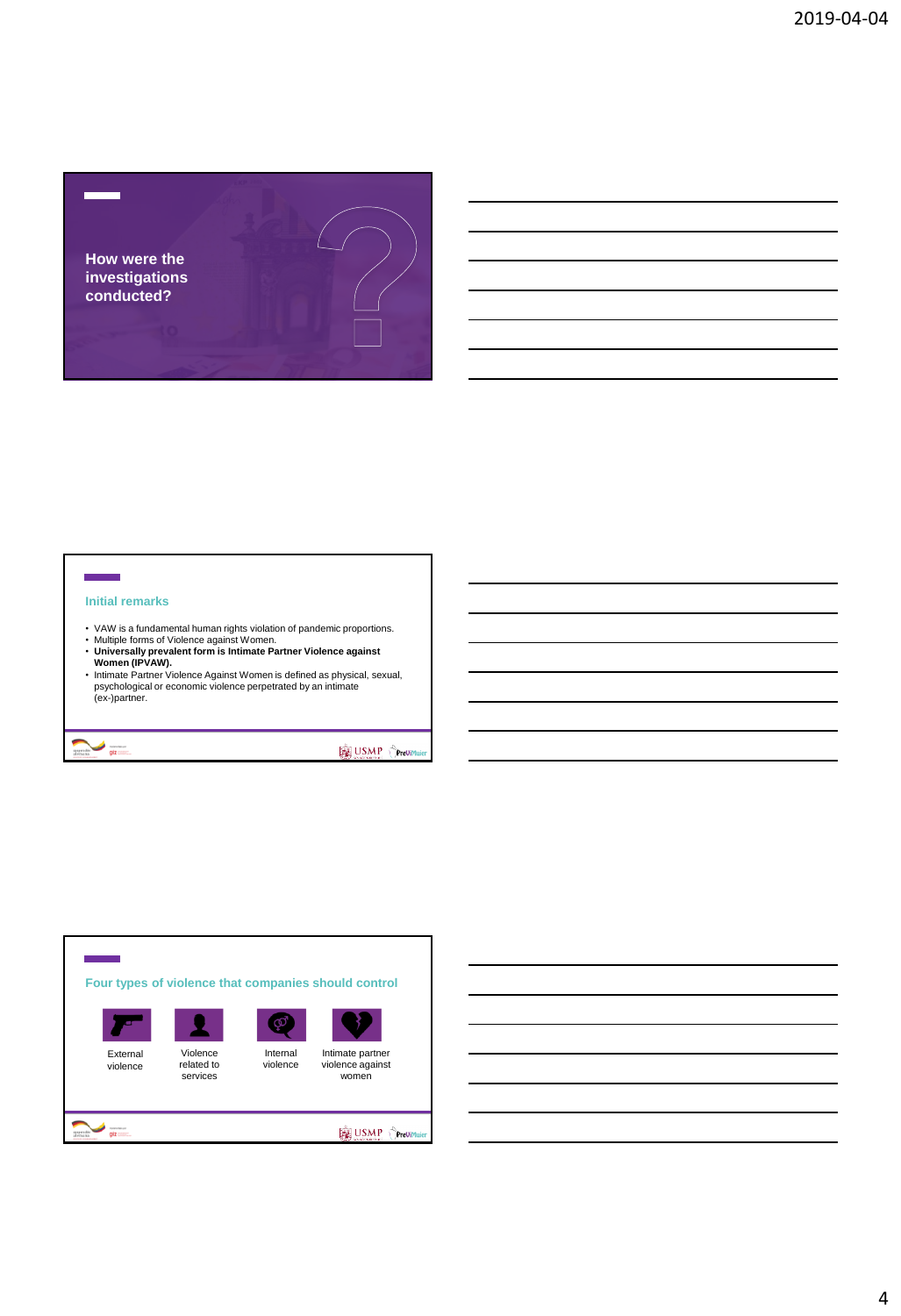

### **Initial remarks**

ż

superation of the second second second second second second second second second second second second second second second second second second second second second second second second second second second second second s

- 
- 
- VAW is a fundamental human rights violation of pandemic proportions. Multiple forms of Violence against Women. **Universally prevalent form is Intimate Partner Violence against Women (IPVAW).**
- Intimate Partner Violence Against Women is defined as physical, sexual, psychological or economic violence perpetrated by an intimate (ex-)partner.

USMP Orevir

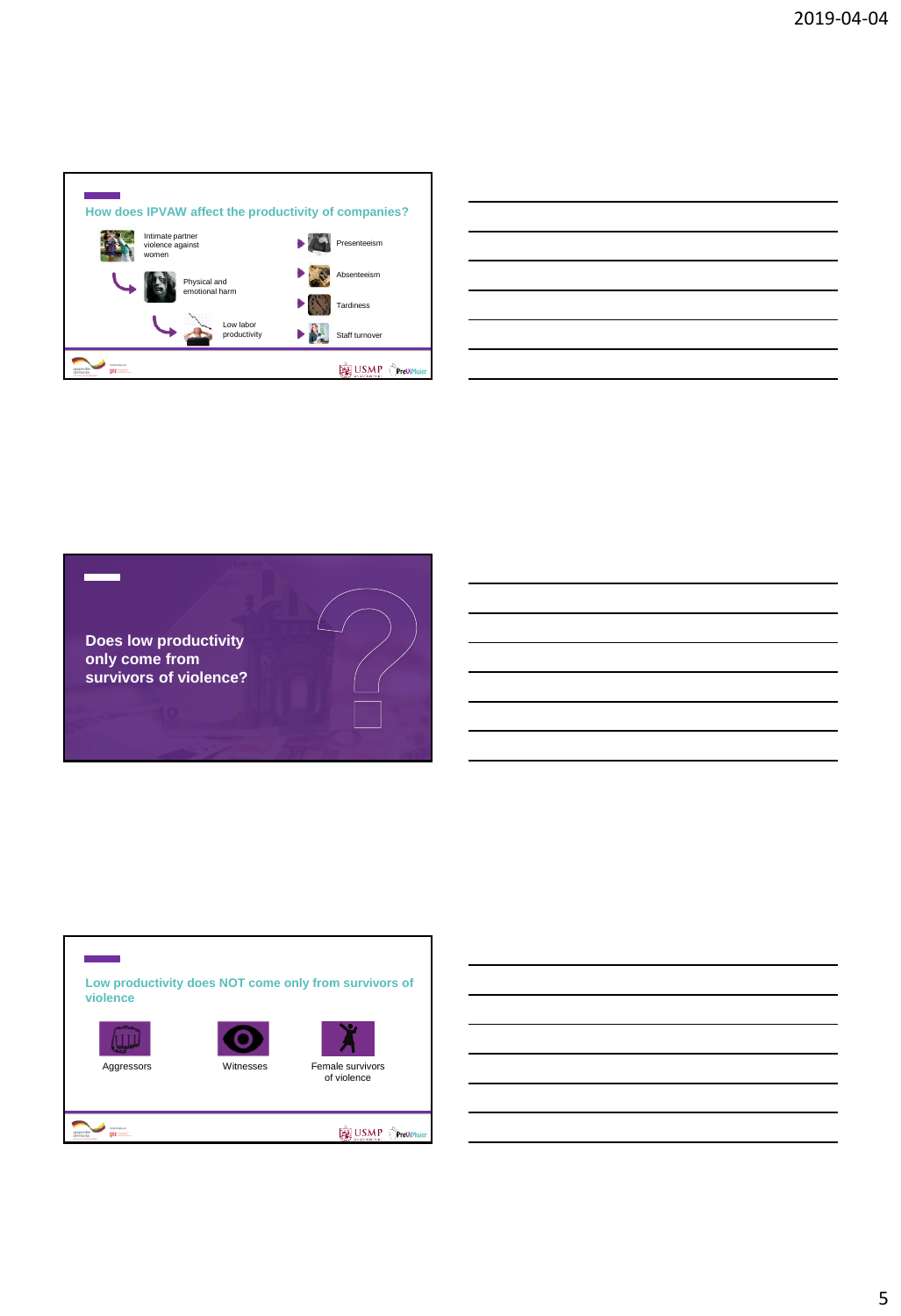

| the control of the control of the control of the control of the control of the control of the control of the control of the control of the control of the control of the control of the control of the control of the control        |  |  |
|--------------------------------------------------------------------------------------------------------------------------------------------------------------------------------------------------------------------------------------|--|--|
| <u> The Communication of the Communication of the Communication of the Communication of the Communication of the Communication of the Communication of the Communication of the Communication of the Communication of the Commun</u> |  |  |
|                                                                                                                                                                                                                                      |  |  |
|                                                                                                                                                                                                                                      |  |  |
|                                                                                                                                                                                                                                      |  |  |
|                                                                                                                                                                                                                                      |  |  |
|                                                                                                                                                                                                                                      |  |  |







 $qiz$ 





Aggressors **Mitnesses** Female survivors of violence

USMP OPrevin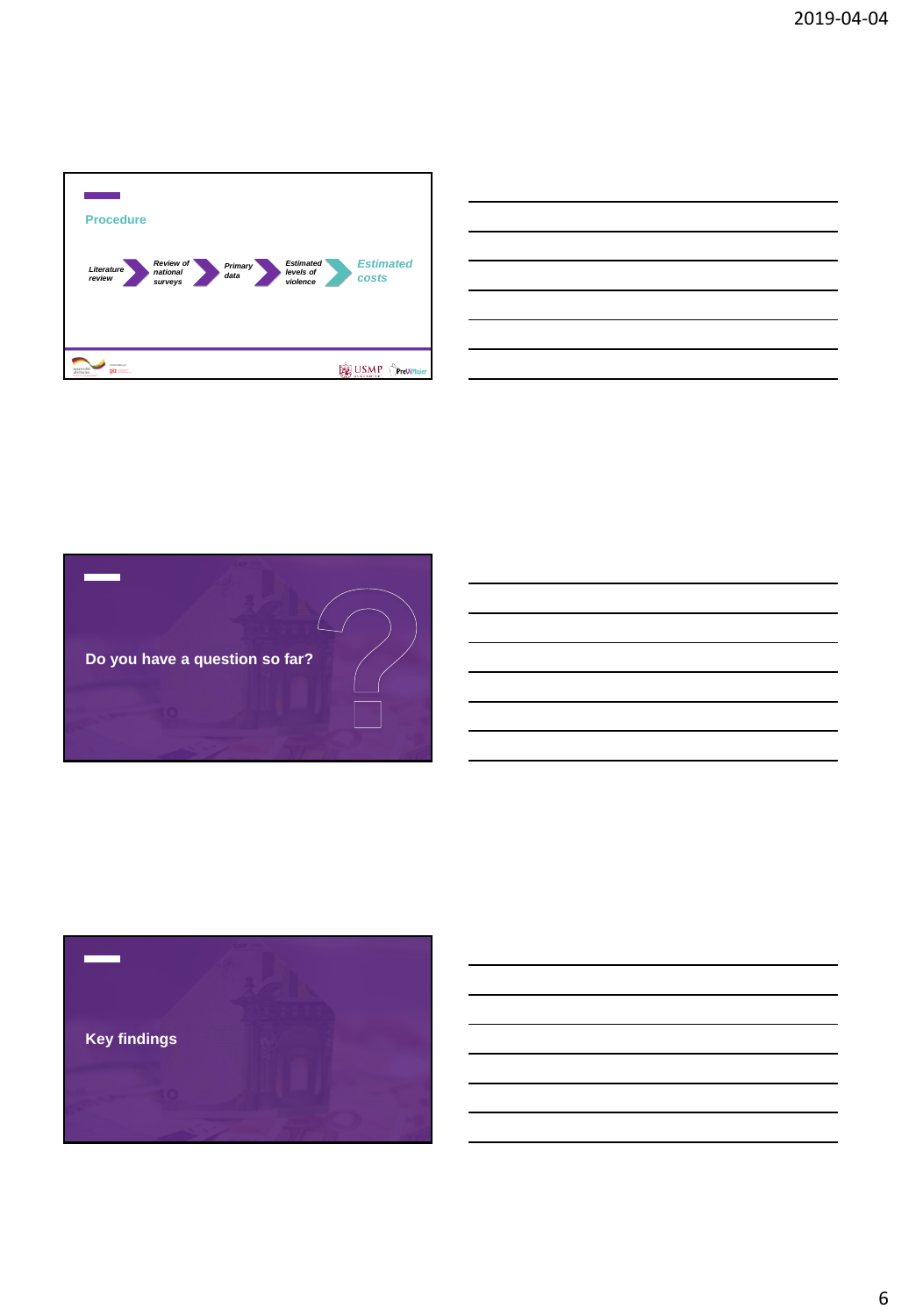





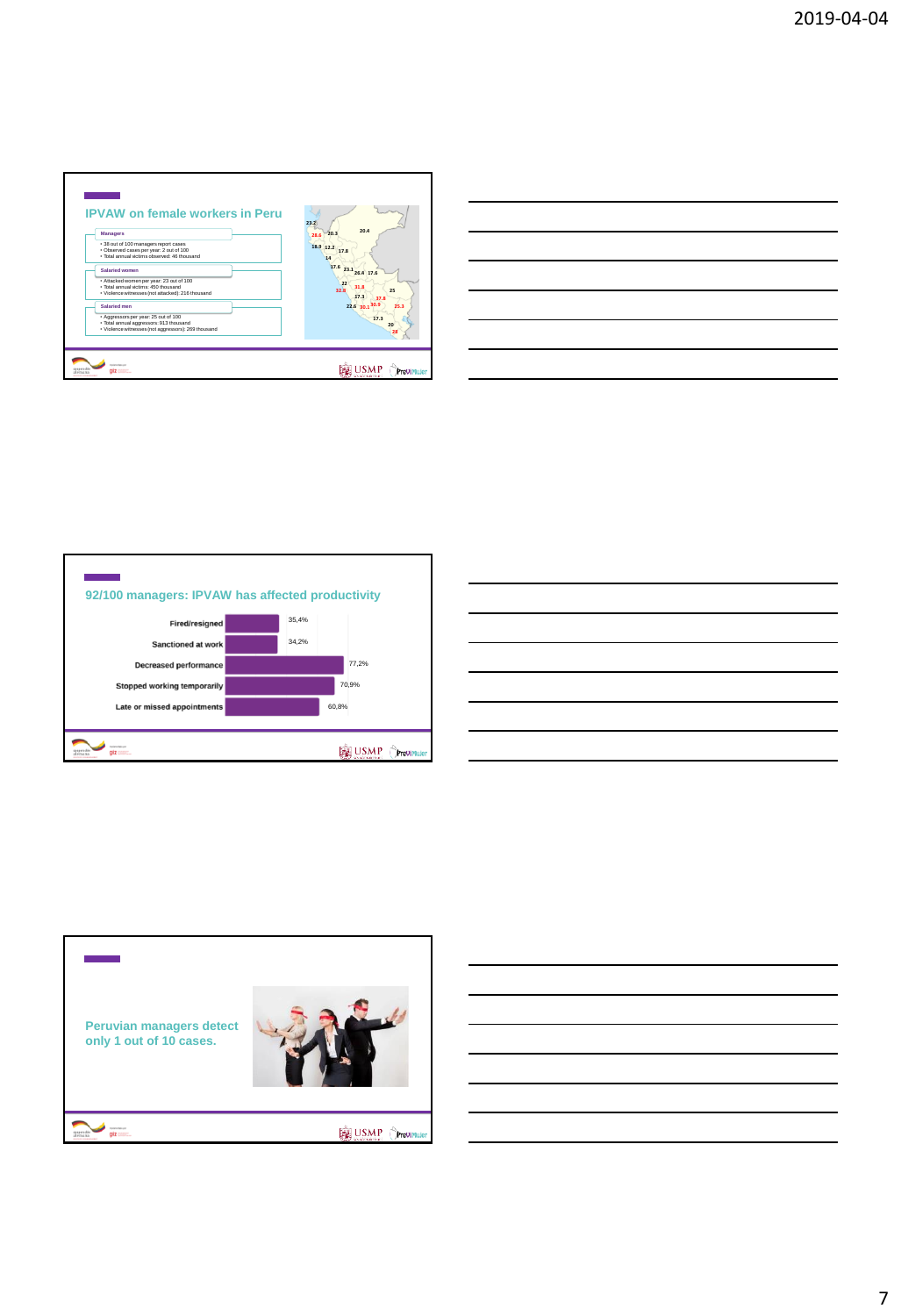







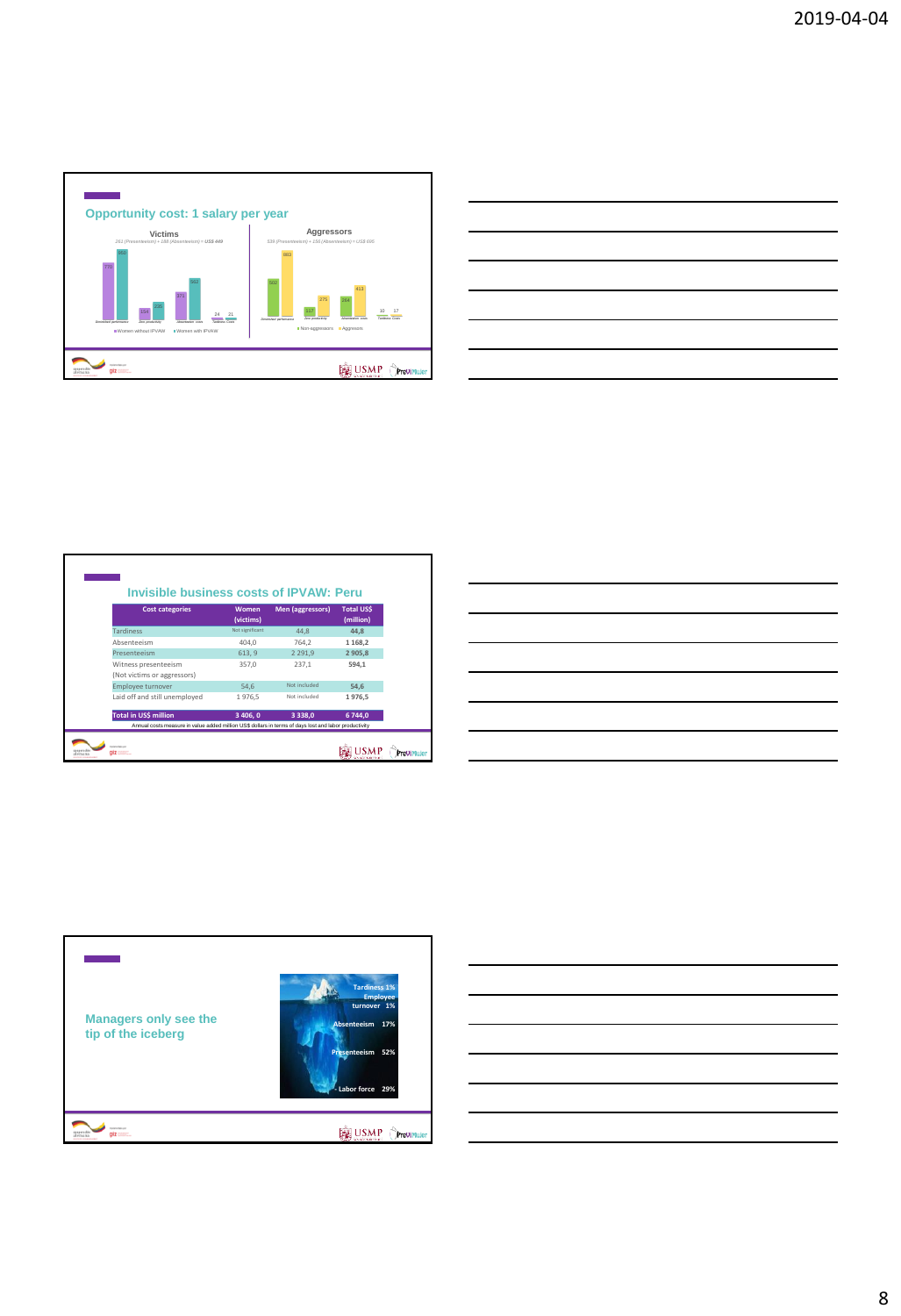

| the control of the control of the control of the control of the control of the control of the control of the control of the control of the control of the control of the control of the control of the control of the control |      |
|-------------------------------------------------------------------------------------------------------------------------------------------------------------------------------------------------------------------------------|------|
|                                                                                                                                                                                                                               | ____ |
|                                                                                                                                                                                                                               |      |
|                                                                                                                                                                                                                               |      |
|                                                                                                                                                                                                                               |      |
|                                                                                                                                                                                                                               |      |
| the control of the control of the control of                                                                                                                                                                                  |      |
|                                                                                                                                                                                                                               |      |

| <b>Cost categories</b>                              | Women           | Men (aggressors) | <b>Total USS</b> |
|-----------------------------------------------------|-----------------|------------------|------------------|
|                                                     | (victims)       |                  | (million)        |
| <b>Tardiness</b>                                    | Not significant | 44.8             | 44.8             |
| Ahsenteeism                                         | 404.0           | 764.2            | 1 1 68,2         |
| Presenteeism                                        | 613, 9          | 2 2 9 1.9        | 2 9 0 5.8        |
| Witness presenteeism<br>(Not victims or aggressors) | 357.0           | 237,1            | 594.1            |
| <b>Employee turnover</b>                            | 54.6            | Not included     | 54.6             |
| Laid off and still unemployed                       | 1976,5          | Not included     | 1976.5           |
| Total in US\$ million                               | 3 406, 0        | 3338,0           | 6 744,0          |

| the contract of the contract of the contract of |  |  |
|-------------------------------------------------|--|--|
|                                                 |  |  |
|                                                 |  |  |
|                                                 |  |  |
|                                                 |  |  |
|                                                 |  |  |
|                                                 |  |  |
|                                                 |  |  |